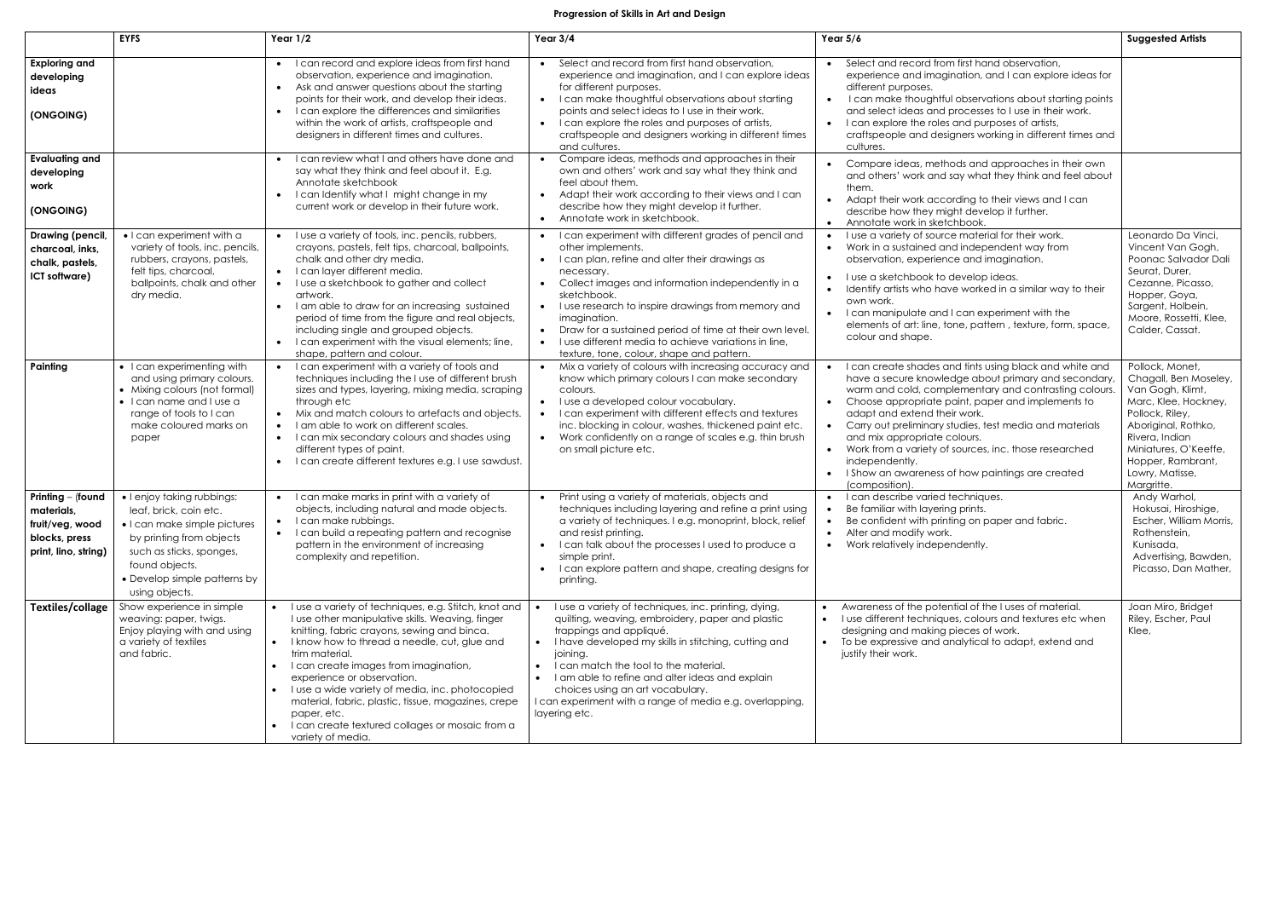## **Progression of Skills in Art and Design**

|                                                                                             | <b>EYFS</b>                                                                                                                                                                                                      | Year $1/2$                                                                                                                                                                                                                                                                                                                                                                                                                                                                                                                    | Year $3/4$                                                                                                                                                                                                                                                                                                                                                                                                                                                                 | Year $5/6$                                                                                                                                                                                                                                                                                                                                                                                                                                                                                                                          | <b>Suggested Artists</b>                                                                                                                                                                                                        |
|---------------------------------------------------------------------------------------------|------------------------------------------------------------------------------------------------------------------------------------------------------------------------------------------------------------------|-------------------------------------------------------------------------------------------------------------------------------------------------------------------------------------------------------------------------------------------------------------------------------------------------------------------------------------------------------------------------------------------------------------------------------------------------------------------------------------------------------------------------------|----------------------------------------------------------------------------------------------------------------------------------------------------------------------------------------------------------------------------------------------------------------------------------------------------------------------------------------------------------------------------------------------------------------------------------------------------------------------------|-------------------------------------------------------------------------------------------------------------------------------------------------------------------------------------------------------------------------------------------------------------------------------------------------------------------------------------------------------------------------------------------------------------------------------------------------------------------------------------------------------------------------------------|---------------------------------------------------------------------------------------------------------------------------------------------------------------------------------------------------------------------------------|
| <b>Exploring and</b><br>developing<br>ideas<br>(ONGOING)                                    |                                                                                                                                                                                                                  | I can record and explore ideas from first hand<br>observation, experience and imagination.<br>Ask and answer questions about the starting<br>$\bullet$<br>points for their work, and develop their ideas.<br>I can explore the differences and similarities<br>within the work of artists, craftspeople and<br>designers in different times and cultures.                                                                                                                                                                     | • Select and record from first hand observation,<br>experience and imagination, and I can explore ideas<br>for different purposes.<br>• I can make thoughtful observations about starting<br>points and select ideas to I use in their work.<br>• I can explore the roles and purposes of artists,<br>craftspeople and designers working in different times<br>and cultures.                                                                                               | Select and record from first hand observation,<br>experience and imagination, and I can explore ideas for<br>different purposes.<br>I can make thoughtful observations about starting points<br>$\bullet$<br>and select ideas and processes to I use in their work.<br>I can explore the roles and purposes of artists,<br>$\bullet$<br>craftspeople and designers working in different times and<br>cultures.                                                                                                                      |                                                                                                                                                                                                                                 |
| <b>Evaluating and</b><br>developing<br>work<br>(ONGOING)                                    |                                                                                                                                                                                                                  | I can review what I and others have done and<br>say what they think and feel about it. E.g.<br>Annotate sketchbook<br>I can Identify what I might change in my<br>current work or develop in their future work.                                                                                                                                                                                                                                                                                                               | Compare ideas, methods and approaches in their<br>own and others' work and say what they think and<br>feel about them.<br>• Adapt their work according to their views and I can<br>describe how they might develop it further.<br>• Annotate work in sketchbook.                                                                                                                                                                                                           | Compare ideas, methods and approaches in their own<br>and others' work and say what they think and feel about<br>them.<br>Adapt their work according to their views and I can<br>describe how they might develop it further.<br>Annotate work in sketchbook.<br>$\bullet$                                                                                                                                                                                                                                                           |                                                                                                                                                                                                                                 |
| Drawing (pencil,<br>charcoal, inks,<br>chalk, pastels,<br>ICT software)                     | • I can experiment with a<br>variety of tools, inc. pencils,<br>rubbers, crayons, pastels,<br>felt tips, charcoal,<br>ballpoints, chalk and other<br>dry media.                                                  | I use a variety of tools, inc. pencils, rubbers,<br>crayons, pastels, felt tips, charcoal, ballpoints,<br>chalk and other dry media.<br>• I can layer different media.<br>• I use a sketchbook to gather and collect<br>artwork.<br>I am able to draw for an increasing sustained<br>period of time from the figure and real objects,<br>including single and grouped objects.<br>I can experiment with the visual elements; line,<br>shape, pattern and colour.                                                              | • I can experiment with different grades of pencil and<br>other implements.<br>• I can plan, refine and alter their drawings as<br>necessary.<br>Collect images and information independently in a<br>$\bullet$<br>sketchbook.<br>• I use research to inspire drawings from memory and<br>imagination.<br>• Draw for a sustained period of time at their own level.<br>• I use different media to achieve variations in line,<br>texture, tone, colour, shape and pattern. | I use a variety of source material for their work.<br>$\bullet$<br>Work in a sustained and independent way from<br>$\bullet$<br>observation, experience and imagination.<br>I use a sketchbook to develop ideas.<br>$\bullet$<br>Identify artists who have worked in a similar way to their<br>own work.<br>I can manipulate and I can experiment with the<br>elements of art: line, tone, pattern, texture, form, space,<br>colour and shape.                                                                                      | Leonardo Da Vinci,<br>Vincent Van Gogh,<br>Poonac Salvador Dali<br>Seurat, Durer,<br>Cezanne, Picasso,<br>Hopper, Goya,<br>Sargent, Holbein,<br>Moore, Rossetti, Klee,<br>Calder, Cassat.                                       |
| Painting                                                                                    | • I can experimenting with<br>and using primary colours.<br>• Mixing colours (not formal)<br>• I can name and I use a<br>range of tools to I can<br>make coloured marks on<br>paper                              | I can experiment with a variety of tools and<br>techniques including the I use of different brush<br>sizes and types, layering, mixing media, scraping<br>through etc<br>Mix and match colours to artefacts and objects.<br>I am able to work on different scales.<br>I can mix secondary colours and shades using<br>different types of paint.<br>I can create different textures e.g. I use sawdust.<br>$\bullet$                                                                                                           | • Mix a variety of colours with increasing accuracy and<br>know which primary colours I can make secondary<br>colours.<br>· I use a developed colour vocabulary.<br>• I can experiment with different effects and textures<br>inc. blocking in colour, washes, thickened paint etc.<br>• Work confidently on a range of scales e.g. thin brush<br>on small picture etc.                                                                                                    | I can create shades and tints using black and white and<br>have a secure knowledge about primary and secondary,<br>warm and cold, complementary and contrasting colours.<br>Choose appropriate paint, paper and implements to<br>$\bullet$<br>adapt and extend their work.<br>Carry out preliminary studies, test media and materials<br>and mix appropriate colours.<br>Work from a variety of sources, inc. those researched<br>independently.<br>I Show an awareness of how paintings are created<br>$\bullet$<br>(composition). | Pollock, Monet,<br>Chagall, Ben Moseley,<br>Van Gogh, Klimt,<br>Marc, Klee, Hockney,<br>Pollock, Riley,<br>Aboriginal, Rothko,<br>Rivera, Indian<br>Miniatures, O'Keeffe,<br>Hopper, Rambrant,<br>Lowry, Matisse,<br>Margritte. |
| Printing - (found<br>materials,<br>fruit/veg, wood<br>blocks, press<br>print, lino, string) | • I enjoy taking rubbings:<br>leaf, brick, coin etc.<br>• I can make simple pictures<br>by printing from objects<br>such as sticks, sponges,<br>found objects.<br>• Develop simple patterns by<br>using objects. | • I can make marks in print with a variety of<br>objects, including natural and made objects.<br>I can make rubbings.<br>I can build a repeating pattern and recognise<br>$\bullet$<br>pattern in the environment of increasing<br>complexity and repetition.                                                                                                                                                                                                                                                                 | • Print using a variety of materials, objects and<br>techniques including layering and refine a print using<br>a variety of techniques. I e.g. monoprint, block, relief<br>and resist printing.<br>• I can talk about the processes I used to produce a<br>simple print.<br>• I can explore pattern and shape, creating designs for<br>printing.                                                                                                                           | I can describe varied techniques.<br>$\bullet$<br>Be familiar with layering prints.<br>$\bullet$<br>Be confident with printing on paper and fabric.<br>Alter and modify work.<br>$\bullet$<br>Work relatively independently.<br>$\bullet$                                                                                                                                                                                                                                                                                           | Andy Warhol,<br>Hokusai, Hiroshige,<br>Escher, William Morris,<br>Rothenstein,<br>Kunisada,<br>Advertising, Bawden,<br>Picasso, Dan Mather,                                                                                     |
| Textiles/collage                                                                            | Show experience in simple<br>weaving: paper, twigs.<br>Enjoy playing with and using<br>a variety of textiles<br>and fabric.                                                                                      | I use a variety of techniques, e.g. Stitch, knot and<br>I use other manipulative skills. Weaving, finger<br>knitting, fabric crayons, sewing and binca.<br>I know how to thread a needle, cut, glue and<br>$\bullet$<br>trim material.<br>I can create images from imagination,<br>experience or observation.<br>• I use a wide variety of media, inc. photocopied<br>material, fabric, plastic, tissue, magazines, crepe<br>paper, etc.<br>I can create textured collages or mosaic from a<br>$\bullet$<br>variety of media. | I use a variety of techniques, inc. printing, dying,<br>quilting, weaving, embroidery, paper and plastic<br>trappings and appliqué.<br>I have developed my skills in stitching, cutting and<br>joining.<br>I can match the tool to the material.<br>$\bullet$<br>I am able to refine and alter ideas and explain<br>$\bullet$<br>choices using an art vocabulary.<br>I can experiment with a range of media e.g. overlapping,<br>layering etc.                             | Awareness of the potential of the I uses of material.<br>I use different techniques, colours and textures etc when<br>designing and making pieces of work.<br>To be expressive and analytical to adapt, extend and<br>justify their work.                                                                                                                                                                                                                                                                                           | Joan Miro, Bridget<br>Riley, Escher, Paul<br>Klee,                                                                                                                                                                              |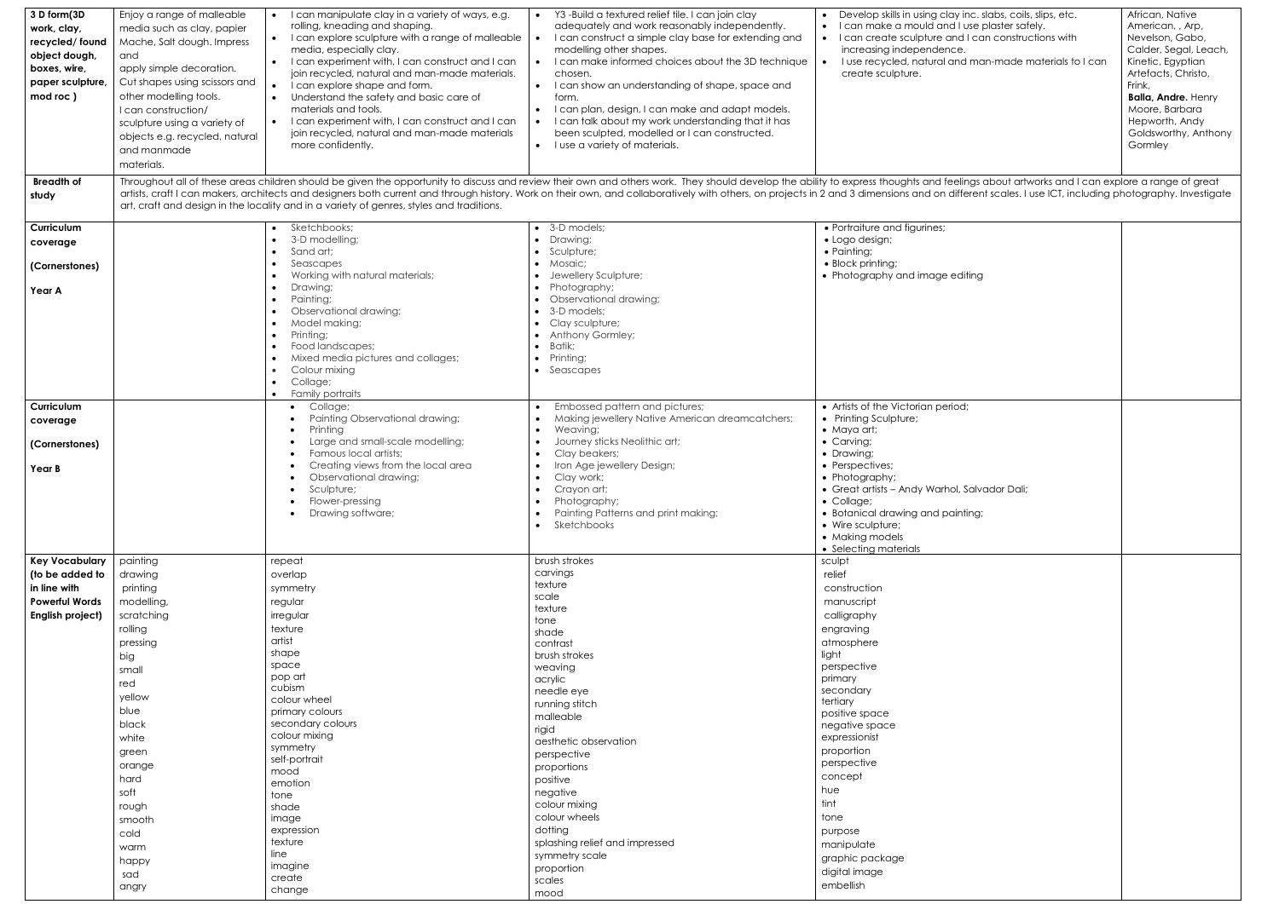| nc. slabs, coils, slips, etc.<br>use plaster safely.<br>I can constructions with<br>man-made materials to I can      | African, Native<br>American, , Arp,<br>Nevelson, Gabo,<br>Calder, Segal, Leach,<br>Kinetic, Egyptian<br>Artefacts, Christo,<br>Frink,<br><b>Balla, Andre. Henry</b><br>Moore, Barbara<br>Hepworth, Andy<br>Goldsworthy, Anthony<br>Gormley |
|----------------------------------------------------------------------------------------------------------------------|--------------------------------------------------------------------------------------------------------------------------------------------------------------------------------------------------------------------------------------------|
| ngs about artworks and I can explore a range of great<br>erent scales. I use ICT, including photography. Investigate |                                                                                                                                                                                                                                            |
| ting                                                                                                                 |                                                                                                                                                                                                                                            |
|                                                                                                                      |                                                                                                                                                                                                                                            |
|                                                                                                                      |                                                                                                                                                                                                                                            |
| Salvador Dali;<br>ing;                                                                                               |                                                                                                                                                                                                                                            |
|                                                                                                                      |                                                                                                                                                                                                                                            |
|                                                                                                                      |                                                                                                                                                                                                                                            |
|                                                                                                                      |                                                                                                                                                                                                                                            |
|                                                                                                                      |                                                                                                                                                                                                                                            |
|                                                                                                                      |                                                                                                                                                                                                                                            |

| 3 D form(3D<br>work, clay,<br>recycled/found<br>object dough,<br>boxes, wire,<br>paper sculpture,<br>mod roc)<br><b>Breadth of</b> | Enjoy a range of malleable<br>media such as clay, papier<br>Mache, Salt dough. Impress<br>and<br>apply simple decoration.<br>Cut shapes using scissors and<br>other modelling tools.<br>I can construction/<br>sculpture using a variety of<br>objects e.g. recycled, natural<br>and manmade<br>materials. | I can manipulate clay in a variety of ways, e.g.<br>rolling, kneading and shaping.<br>I can explore sculpture with a range of malleable<br>media, especially clay.<br>I can experiment with, I can construct and I can<br>join recycled, natural and man-made materials.<br>I can explore shape and form.<br>Understand the safety and basic care of<br>materials and tools.<br>I can experiment with, I can construct and I can<br>join recycled, natural and man-made materials<br>more confidently. | Y3 -Build a textured relief tile. I can join clay<br>adequately and work reasonably independently.<br>I can construct a simple clay base for extending and<br>modelling other shapes.<br>I can make informed choices about the 3D technique<br>chosen.<br>• I can show an understanding of shape, space and<br>form.<br>I can plan, design, I can make and adapt models.<br>I can talk about my work understanding that it has<br>been sculpted, modelled or I can constructed.<br>• I use a variety of materials. | Develop skills in using clay inc. slabs, coils, slips, etc.<br>I can make a mould and I use plaster safely.<br>I can create sculpture and I can constructions with<br>increasing independence.<br>I use recycled, natural and man-made materials to I can<br>create sculpture.<br>Throughout all of these areas children should be given the opportunity to discuss and review their own and others work. They should develop the ability to express thoughts and feelings about artworks and I can explore a ra | African, Native<br>American, , Arp,<br>Nevelson, Gabo,<br>Calder, Segal, Leach,<br>Kinetic, Egyptian<br>Artefacts, Christo,<br>Frink,<br><b>Balla, Andre. Henry</b><br>Moore, Barbara<br>Hepworth, Andy<br>Goldsworthy, Anthony<br>Gormley |
|------------------------------------------------------------------------------------------------------------------------------------|------------------------------------------------------------------------------------------------------------------------------------------------------------------------------------------------------------------------------------------------------------------------------------------------------------|--------------------------------------------------------------------------------------------------------------------------------------------------------------------------------------------------------------------------------------------------------------------------------------------------------------------------------------------------------------------------------------------------------------------------------------------------------------------------------------------------------|--------------------------------------------------------------------------------------------------------------------------------------------------------------------------------------------------------------------------------------------------------------------------------------------------------------------------------------------------------------------------------------------------------------------------------------------------------------------------------------------------------------------|------------------------------------------------------------------------------------------------------------------------------------------------------------------------------------------------------------------------------------------------------------------------------------------------------------------------------------------------------------------------------------------------------------------------------------------------------------------------------------------------------------------|--------------------------------------------------------------------------------------------------------------------------------------------------------------------------------------------------------------------------------------------|
| study                                                                                                                              |                                                                                                                                                                                                                                                                                                            | art, craft and design in the locality and in a variety of genres, styles and traditions.                                                                                                                                                                                                                                                                                                                                                                                                               |                                                                                                                                                                                                                                                                                                                                                                                                                                                                                                                    | artists, craft I can makers, architects and designers both current and through history. Work on their own, and collaboratively with others, on projects in 2 and 3 dimensions and on different scales. I use ICT, including ph                                                                                                                                                                                                                                                                                   |                                                                                                                                                                                                                                            |
| Curriculum                                                                                                                         |                                                                                                                                                                                                                                                                                                            | Sketchbooks;                                                                                                                                                                                                                                                                                                                                                                                                                                                                                           | 3-D models;                                                                                                                                                                                                                                                                                                                                                                                                                                                                                                        | • Portraiture and figurines;                                                                                                                                                                                                                                                                                                                                                                                                                                                                                     |                                                                                                                                                                                                                                            |
| coverage                                                                                                                           |                                                                                                                                                                                                                                                                                                            | 3-D modelling;<br>$\bullet$                                                                                                                                                                                                                                                                                                                                                                                                                                                                            | • Drawing;                                                                                                                                                                                                                                                                                                                                                                                                                                                                                                         | • Logo design;                                                                                                                                                                                                                                                                                                                                                                                                                                                                                                   |                                                                                                                                                                                                                                            |
|                                                                                                                                    |                                                                                                                                                                                                                                                                                                            | Sand art;                                                                                                                                                                                                                                                                                                                                                                                                                                                                                              | • Sculpture;                                                                                                                                                                                                                                                                                                                                                                                                                                                                                                       | • Painting;                                                                                                                                                                                                                                                                                                                                                                                                                                                                                                      |                                                                                                                                                                                                                                            |
| (Cornerstones)                                                                                                                     |                                                                                                                                                                                                                                                                                                            | Seascapes<br>Working with natural materials;                                                                                                                                                                                                                                                                                                                                                                                                                                                           | • Mosaic;<br>Jewellery Sculpture;                                                                                                                                                                                                                                                                                                                                                                                                                                                                                  | • Block printing;<br>• Photography and image editing                                                                                                                                                                                                                                                                                                                                                                                                                                                             |                                                                                                                                                                                                                                            |
|                                                                                                                                    |                                                                                                                                                                                                                                                                                                            | Drawing;                                                                                                                                                                                                                                                                                                                                                                                                                                                                                               | Photography;                                                                                                                                                                                                                                                                                                                                                                                                                                                                                                       |                                                                                                                                                                                                                                                                                                                                                                                                                                                                                                                  |                                                                                                                                                                                                                                            |
| Year A                                                                                                                             |                                                                                                                                                                                                                                                                                                            | Painting;                                                                                                                                                                                                                                                                                                                                                                                                                                                                                              | Observational drawing;                                                                                                                                                                                                                                                                                                                                                                                                                                                                                             |                                                                                                                                                                                                                                                                                                                                                                                                                                                                                                                  |                                                                                                                                                                                                                                            |
|                                                                                                                                    |                                                                                                                                                                                                                                                                                                            | Observational drawing;<br>$\bullet$                                                                                                                                                                                                                                                                                                                                                                                                                                                                    | $\bullet$ 3-D models:                                                                                                                                                                                                                                                                                                                                                                                                                                                                                              |                                                                                                                                                                                                                                                                                                                                                                                                                                                                                                                  |                                                                                                                                                                                                                                            |
|                                                                                                                                    |                                                                                                                                                                                                                                                                                                            | Model making;<br>$\bullet$                                                                                                                                                                                                                                                                                                                                                                                                                                                                             | • Clay sculpture;                                                                                                                                                                                                                                                                                                                                                                                                                                                                                                  |                                                                                                                                                                                                                                                                                                                                                                                                                                                                                                                  |                                                                                                                                                                                                                                            |
|                                                                                                                                    |                                                                                                                                                                                                                                                                                                            | Printing;<br>$\bullet$                                                                                                                                                                                                                                                                                                                                                                                                                                                                                 | • Anthony Gormley;                                                                                                                                                                                                                                                                                                                                                                                                                                                                                                 |                                                                                                                                                                                                                                                                                                                                                                                                                                                                                                                  |                                                                                                                                                                                                                                            |
|                                                                                                                                    |                                                                                                                                                                                                                                                                                                            | Food landscapes;<br>Mixed media pictures and collages;                                                                                                                                                                                                                                                                                                                                                                                                                                                 | $\bullet$ Batik;<br>• Printing;                                                                                                                                                                                                                                                                                                                                                                                                                                                                                    |                                                                                                                                                                                                                                                                                                                                                                                                                                                                                                                  |                                                                                                                                                                                                                                            |
|                                                                                                                                    |                                                                                                                                                                                                                                                                                                            | Colour mixing<br>$\bullet$                                                                                                                                                                                                                                                                                                                                                                                                                                                                             | • Seascapes                                                                                                                                                                                                                                                                                                                                                                                                                                                                                                        |                                                                                                                                                                                                                                                                                                                                                                                                                                                                                                                  |                                                                                                                                                                                                                                            |
|                                                                                                                                    |                                                                                                                                                                                                                                                                                                            | Collage;<br>$\bullet$                                                                                                                                                                                                                                                                                                                                                                                                                                                                                  |                                                                                                                                                                                                                                                                                                                                                                                                                                                                                                                    |                                                                                                                                                                                                                                                                                                                                                                                                                                                                                                                  |                                                                                                                                                                                                                                            |
|                                                                                                                                    |                                                                                                                                                                                                                                                                                                            | Family portraits                                                                                                                                                                                                                                                                                                                                                                                                                                                                                       |                                                                                                                                                                                                                                                                                                                                                                                                                                                                                                                    |                                                                                                                                                                                                                                                                                                                                                                                                                                                                                                                  |                                                                                                                                                                                                                                            |
| Curriculum                                                                                                                         |                                                                                                                                                                                                                                                                                                            | $\bullet$ Collage;                                                                                                                                                                                                                                                                                                                                                                                                                                                                                     | Embossed pattern and pictures;                                                                                                                                                                                                                                                                                                                                                                                                                                                                                     | • Artists of the Victorian period;                                                                                                                                                                                                                                                                                                                                                                                                                                                                               |                                                                                                                                                                                                                                            |
| coverage                                                                                                                           |                                                                                                                                                                                                                                                                                                            | Painting Observational drawing;                                                                                                                                                                                                                                                                                                                                                                                                                                                                        | Making jewellery Native American dreamcatchers;                                                                                                                                                                                                                                                                                                                                                                                                                                                                    | • Printing Sculpture;                                                                                                                                                                                                                                                                                                                                                                                                                                                                                            |                                                                                                                                                                                                                                            |
|                                                                                                                                    |                                                                                                                                                                                                                                                                                                            | Printing                                                                                                                                                                                                                                                                                                                                                                                                                                                                                               | Weaving;                                                                                                                                                                                                                                                                                                                                                                                                                                                                                                           | • Maya art;<br>• Carving;                                                                                                                                                                                                                                                                                                                                                                                                                                                                                        |                                                                                                                                                                                                                                            |
| (Cornerstones)                                                                                                                     |                                                                                                                                                                                                                                                                                                            | Large and small-scale modelling;<br>Famous local artists;                                                                                                                                                                                                                                                                                                                                                                                                                                              | Journey sticks Neolithic art;<br>Clay beakers;                                                                                                                                                                                                                                                                                                                                                                                                                                                                     | • Drawing;                                                                                                                                                                                                                                                                                                                                                                                                                                                                                                       |                                                                                                                                                                                                                                            |
| Year B                                                                                                                             |                                                                                                                                                                                                                                                                                                            | Creating views from the local area                                                                                                                                                                                                                                                                                                                                                                                                                                                                     | Iron Age jewellery Design;                                                                                                                                                                                                                                                                                                                                                                                                                                                                                         | • Perspectives;                                                                                                                                                                                                                                                                                                                                                                                                                                                                                                  |                                                                                                                                                                                                                                            |
|                                                                                                                                    |                                                                                                                                                                                                                                                                                                            | Observational drawing;                                                                                                                                                                                                                                                                                                                                                                                                                                                                                 | Clay work;                                                                                                                                                                                                                                                                                                                                                                                                                                                                                                         | • Photography;                                                                                                                                                                                                                                                                                                                                                                                                                                                                                                   |                                                                                                                                                                                                                                            |
|                                                                                                                                    |                                                                                                                                                                                                                                                                                                            | • Sculpture;                                                                                                                                                                                                                                                                                                                                                                                                                                                                                           | Crayon art;<br>$\bullet$                                                                                                                                                                                                                                                                                                                                                                                                                                                                                           | • Great artists - Andy Warhol, Salvador Dali;                                                                                                                                                                                                                                                                                                                                                                                                                                                                    |                                                                                                                                                                                                                                            |
|                                                                                                                                    |                                                                                                                                                                                                                                                                                                            | Flower-pressing                                                                                                                                                                                                                                                                                                                                                                                                                                                                                        | Photography;                                                                                                                                                                                                                                                                                                                                                                                                                                                                                                       | • Collage;                                                                                                                                                                                                                                                                                                                                                                                                                                                                                                       |                                                                                                                                                                                                                                            |
|                                                                                                                                    |                                                                                                                                                                                                                                                                                                            | Drawing software;                                                                                                                                                                                                                                                                                                                                                                                                                                                                                      | Painting Patterns and print making;<br>Sketchbooks                                                                                                                                                                                                                                                                                                                                                                                                                                                                 | • Botanical drawing and painting;<br>• Wire sculpture;                                                                                                                                                                                                                                                                                                                                                                                                                                                           |                                                                                                                                                                                                                                            |
|                                                                                                                                    |                                                                                                                                                                                                                                                                                                            |                                                                                                                                                                                                                                                                                                                                                                                                                                                                                                        |                                                                                                                                                                                                                                                                                                                                                                                                                                                                                                                    | • Making models                                                                                                                                                                                                                                                                                                                                                                                                                                                                                                  |                                                                                                                                                                                                                                            |
|                                                                                                                                    |                                                                                                                                                                                                                                                                                                            |                                                                                                                                                                                                                                                                                                                                                                                                                                                                                                        |                                                                                                                                                                                                                                                                                                                                                                                                                                                                                                                    | • Selecting materials                                                                                                                                                                                                                                                                                                                                                                                                                                                                                            |                                                                                                                                                                                                                                            |
| <b>Key Vocabulary</b>                                                                                                              | painting                                                                                                                                                                                                                                                                                                   | repeat                                                                                                                                                                                                                                                                                                                                                                                                                                                                                                 | brush strokes                                                                                                                                                                                                                                                                                                                                                                                                                                                                                                      | sculpt                                                                                                                                                                                                                                                                                                                                                                                                                                                                                                           |                                                                                                                                                                                                                                            |
| (to be added to                                                                                                                    | drawing                                                                                                                                                                                                                                                                                                    | overlap                                                                                                                                                                                                                                                                                                                                                                                                                                                                                                | carvings                                                                                                                                                                                                                                                                                                                                                                                                                                                                                                           | relief                                                                                                                                                                                                                                                                                                                                                                                                                                                                                                           |                                                                                                                                                                                                                                            |
| in line with                                                                                                                       | printing                                                                                                                                                                                                                                                                                                   | symmetry                                                                                                                                                                                                                                                                                                                                                                                                                                                                                               | texture                                                                                                                                                                                                                                                                                                                                                                                                                                                                                                            | construction                                                                                                                                                                                                                                                                                                                                                                                                                                                                                                     |                                                                                                                                                                                                                                            |
| <b>Powerful Words</b>                                                                                                              | modelling,                                                                                                                                                                                                                                                                                                 | regular                                                                                                                                                                                                                                                                                                                                                                                                                                                                                                | scale<br>texture                                                                                                                                                                                                                                                                                                                                                                                                                                                                                                   | manuscript                                                                                                                                                                                                                                                                                                                                                                                                                                                                                                       |                                                                                                                                                                                                                                            |
| English project)                                                                                                                   | scratching                                                                                                                                                                                                                                                                                                 | irregular                                                                                                                                                                                                                                                                                                                                                                                                                                                                                              | tone                                                                                                                                                                                                                                                                                                                                                                                                                                                                                                               | calligraphy                                                                                                                                                                                                                                                                                                                                                                                                                                                                                                      |                                                                                                                                                                                                                                            |
|                                                                                                                                    | rolling                                                                                                                                                                                                                                                                                                    | texture                                                                                                                                                                                                                                                                                                                                                                                                                                                                                                | shade                                                                                                                                                                                                                                                                                                                                                                                                                                                                                                              | engraving                                                                                                                                                                                                                                                                                                                                                                                                                                                                                                        |                                                                                                                                                                                                                                            |
|                                                                                                                                    | pressing                                                                                                                                                                                                                                                                                                   | artist                                                                                                                                                                                                                                                                                                                                                                                                                                                                                                 | contrast                                                                                                                                                                                                                                                                                                                                                                                                                                                                                                           | atmosphere                                                                                                                                                                                                                                                                                                                                                                                                                                                                                                       |                                                                                                                                                                                                                                            |
|                                                                                                                                    | big                                                                                                                                                                                                                                                                                                        | shape                                                                                                                                                                                                                                                                                                                                                                                                                                                                                                  | brush strokes                                                                                                                                                                                                                                                                                                                                                                                                                                                                                                      | light                                                                                                                                                                                                                                                                                                                                                                                                                                                                                                            |                                                                                                                                                                                                                                            |
|                                                                                                                                    | small                                                                                                                                                                                                                                                                                                      | space<br>pop art                                                                                                                                                                                                                                                                                                                                                                                                                                                                                       | weaving                                                                                                                                                                                                                                                                                                                                                                                                                                                                                                            | perspective                                                                                                                                                                                                                                                                                                                                                                                                                                                                                                      |                                                                                                                                                                                                                                            |
|                                                                                                                                    | red                                                                                                                                                                                                                                                                                                        | cubism                                                                                                                                                                                                                                                                                                                                                                                                                                                                                                 | acrylic<br>needle eye                                                                                                                                                                                                                                                                                                                                                                                                                                                                                              | primary<br>secondary                                                                                                                                                                                                                                                                                                                                                                                                                                                                                             |                                                                                                                                                                                                                                            |
|                                                                                                                                    | yellow                                                                                                                                                                                                                                                                                                     | colour wheel                                                                                                                                                                                                                                                                                                                                                                                                                                                                                           | running stitch                                                                                                                                                                                                                                                                                                                                                                                                                                                                                                     | tertiary                                                                                                                                                                                                                                                                                                                                                                                                                                                                                                         |                                                                                                                                                                                                                                            |
|                                                                                                                                    | blue                                                                                                                                                                                                                                                                                                       | primary colours                                                                                                                                                                                                                                                                                                                                                                                                                                                                                        | malleable                                                                                                                                                                                                                                                                                                                                                                                                                                                                                                          | positive space                                                                                                                                                                                                                                                                                                                                                                                                                                                                                                   |                                                                                                                                                                                                                                            |
|                                                                                                                                    | black                                                                                                                                                                                                                                                                                                      | secondary colours                                                                                                                                                                                                                                                                                                                                                                                                                                                                                      | rigid                                                                                                                                                                                                                                                                                                                                                                                                                                                                                                              | negative space                                                                                                                                                                                                                                                                                                                                                                                                                                                                                                   |                                                                                                                                                                                                                                            |
|                                                                                                                                    | white                                                                                                                                                                                                                                                                                                      | colour mixing                                                                                                                                                                                                                                                                                                                                                                                                                                                                                          | aesthetic observation                                                                                                                                                                                                                                                                                                                                                                                                                                                                                              | expressionist                                                                                                                                                                                                                                                                                                                                                                                                                                                                                                    |                                                                                                                                                                                                                                            |
|                                                                                                                                    | green                                                                                                                                                                                                                                                                                                      | symmetry<br>self-portrait                                                                                                                                                                                                                                                                                                                                                                                                                                                                              | perspective                                                                                                                                                                                                                                                                                                                                                                                                                                                                                                        | proportion                                                                                                                                                                                                                                                                                                                                                                                                                                                                                                       |                                                                                                                                                                                                                                            |
|                                                                                                                                    | orange                                                                                                                                                                                                                                                                                                     | mood                                                                                                                                                                                                                                                                                                                                                                                                                                                                                                   | proportions                                                                                                                                                                                                                                                                                                                                                                                                                                                                                                        | perspective                                                                                                                                                                                                                                                                                                                                                                                                                                                                                                      |                                                                                                                                                                                                                                            |
|                                                                                                                                    | hard                                                                                                                                                                                                                                                                                                       | emotion                                                                                                                                                                                                                                                                                                                                                                                                                                                                                                | positive                                                                                                                                                                                                                                                                                                                                                                                                                                                                                                           | concept                                                                                                                                                                                                                                                                                                                                                                                                                                                                                                          |                                                                                                                                                                                                                                            |
|                                                                                                                                    | soft                                                                                                                                                                                                                                                                                                       | tone                                                                                                                                                                                                                                                                                                                                                                                                                                                                                                   | negative                                                                                                                                                                                                                                                                                                                                                                                                                                                                                                           | hue                                                                                                                                                                                                                                                                                                                                                                                                                                                                                                              |                                                                                                                                                                                                                                            |
|                                                                                                                                    | rough                                                                                                                                                                                                                                                                                                      | shade                                                                                                                                                                                                                                                                                                                                                                                                                                                                                                  | colour mixing                                                                                                                                                                                                                                                                                                                                                                                                                                                                                                      | tint                                                                                                                                                                                                                                                                                                                                                                                                                                                                                                             |                                                                                                                                                                                                                                            |
|                                                                                                                                    | smooth                                                                                                                                                                                                                                                                                                     | image                                                                                                                                                                                                                                                                                                                                                                                                                                                                                                  | colour wheels                                                                                                                                                                                                                                                                                                                                                                                                                                                                                                      | tone                                                                                                                                                                                                                                                                                                                                                                                                                                                                                                             |                                                                                                                                                                                                                                            |
|                                                                                                                                    | cold                                                                                                                                                                                                                                                                                                       | expression                                                                                                                                                                                                                                                                                                                                                                                                                                                                                             | dotting                                                                                                                                                                                                                                                                                                                                                                                                                                                                                                            | purpose                                                                                                                                                                                                                                                                                                                                                                                                                                                                                                          |                                                                                                                                                                                                                                            |
|                                                                                                                                    | warm                                                                                                                                                                                                                                                                                                       | texture                                                                                                                                                                                                                                                                                                                                                                                                                                                                                                | splashing relief and impressed                                                                                                                                                                                                                                                                                                                                                                                                                                                                                     | manipulate                                                                                                                                                                                                                                                                                                                                                                                                                                                                                                       |                                                                                                                                                                                                                                            |
|                                                                                                                                    | happy                                                                                                                                                                                                                                                                                                      | line<br>imagine                                                                                                                                                                                                                                                                                                                                                                                                                                                                                        | symmetry scale                                                                                                                                                                                                                                                                                                                                                                                                                                                                                                     | graphic package                                                                                                                                                                                                                                                                                                                                                                                                                                                                                                  |                                                                                                                                                                                                                                            |
|                                                                                                                                    | sad                                                                                                                                                                                                                                                                                                        | create                                                                                                                                                                                                                                                                                                                                                                                                                                                                                                 | proportion                                                                                                                                                                                                                                                                                                                                                                                                                                                                                                         | digital image                                                                                                                                                                                                                                                                                                                                                                                                                                                                                                    |                                                                                                                                                                                                                                            |
|                                                                                                                                    | angry                                                                                                                                                                                                                                                                                                      | change                                                                                                                                                                                                                                                                                                                                                                                                                                                                                                 | scales                                                                                                                                                                                                                                                                                                                                                                                                                                                                                                             | embellish                                                                                                                                                                                                                                                                                                                                                                                                                                                                                                        |                                                                                                                                                                                                                                            |
|                                                                                                                                    |                                                                                                                                                                                                                                                                                                            |                                                                                                                                                                                                                                                                                                                                                                                                                                                                                                        | mood                                                                                                                                                                                                                                                                                                                                                                                                                                                                                                               |                                                                                                                                                                                                                                                                                                                                                                                                                                                                                                                  |                                                                                                                                                                                                                                            |